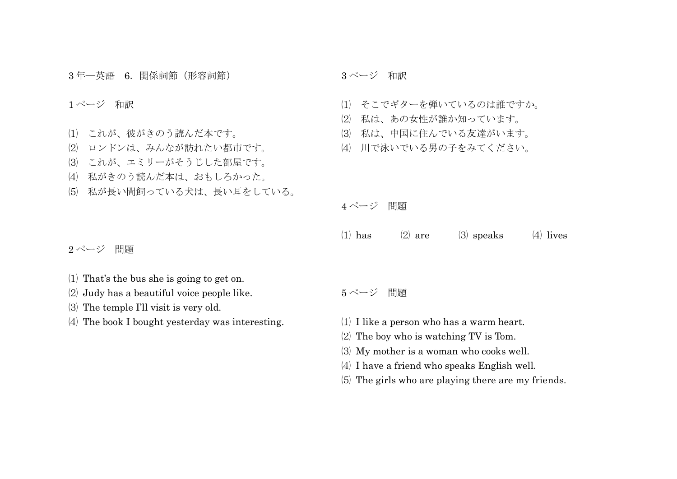年―英語 6.関係詞節(形容詞節)

## ページ 和訳

- これが、彼がきのう読んだ本です。
- ロンドンは、みんなが訪れたい都市です。
- これが、エミリーがそうじした部屋です。
- 私がきのう読んだ本は、おもしろかった。
- 私が長い間飼っている犬は、長い耳をしている。

ページ 和訳

- そこでギターを弾いているのは誰ですか。
- 私は、あの女性が誰か知っています。
- 私は、中国に住んでいる友達がいます。
- 川で泳いでいる男の子をみてください。

ページ 問題

(1) has  $(2)$  are  $(3)$  speaks  $(4)$  lives

ページ 問題

- That's the bus she is going to get on.
- Judy has a beautiful voice people like.
- The temple I'll visit is very old.
- The book I bought yesterday was interesting.

ページ 問題

- I like a person who has a warm heart.
- The boy who is watching TV is Tom.
- My mother is a woman who cooks well.
- I have a friend who speaks English well.
- The girls who are playing there are my friends.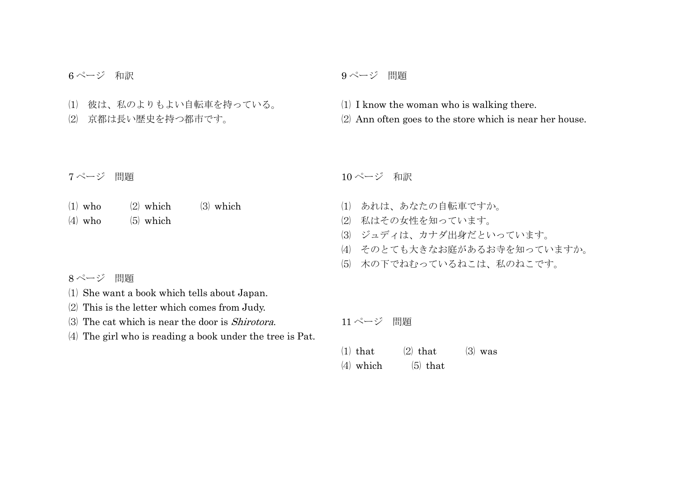ページ 和訳

 彼は、私のよりもよい自転車を持っている。 京都は長い歴史を持つ都市です。

## ページ 問題

 I know the woman who is walking there. Ann often goes to the store which is near her house.

ページ 問題

| $(1)$ who | $(2)$ which | $(3)$ which |
|-----------|-------------|-------------|
| $(4)$ who | $(5)$ which |             |

ページ 問題

- She want a book which tells about Japan.
- This is the letter which comes from Judy.
- The cat which is near the door is Shirotora.

The girl who is reading a book under the tree is Pat.

ページ 和訳

- あれは、あなたの自転車ですか。
- 私はその女性を知っています。
- ジュディは、カナダ出身だといっています。
- そのとても大きなお庭があるお寺を知っていますか。
- 木の下でねむっているねこは、私のねこです。

ページ 問題

| $(1)$ that  | $(2)$ that | $(3)$ was |
|-------------|------------|-----------|
| $(4)$ which | $(5)$ that |           |